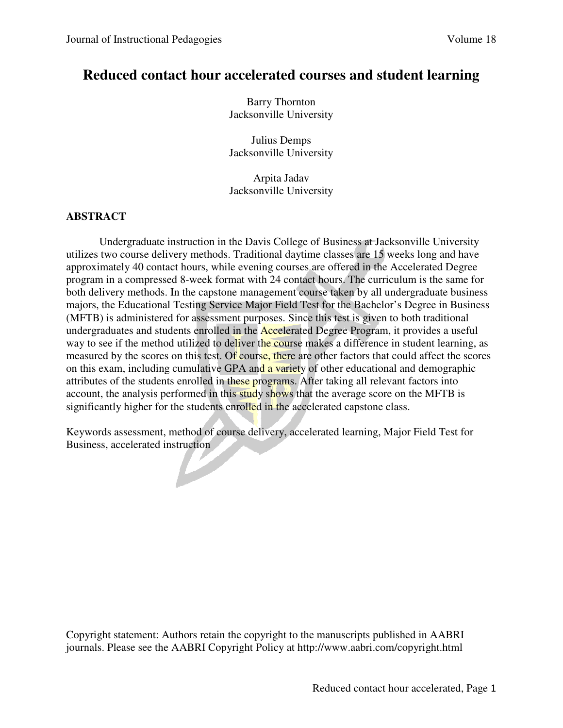# **Reduced contact hour accelerated courses and student learning**

Barry Thornton Jacksonville University

Julius Demps Jacksonville University

Arpita Jadav Jacksonville University

# **ABSTRACT**

Undergraduate instruction in the Davis College of Business at Jacksonville University utilizes two course delivery methods. Traditional daytime classes are 15 weeks long and have approximately 40 contact hours, while evening courses are offered in the Accelerated Degree program in a compressed 8-week format with 24 contact hours. The curriculum is the same for both delivery methods. In the capstone management course taken by all undergraduate business majors, the Educational Testing Service Major Field Test for the Bachelor's Degree in Business (MFTB) is administered for assessment purposes. Since this test is given to both traditional undergraduates and students enrolled in the Accelerated Degree Program, it provides a useful way to see if the method utilized to deliver the course makes a difference in student learning, as measured by the scores on this test. Of course, there are other factors that could affect the scores on this exam, including cumulative GPA and a variety of other educational and demographic attributes of the students enrolled in these programs. After taking all relevant factors into account, the analysis performed in this study shows that the average score on the MFTB is significantly higher for the students enrolled in the accelerated capstone class.

Keywords assessment, method of course delivery, accelerated learning, Major Field Test for Business, accelerated instruction

 $\blacktriangleright$ 

Copyright statement: Authors retain the copyright to the manuscripts published in AABRI journals. Please see the AABRI Copyright Policy at http://www.aabri.com/copyright.html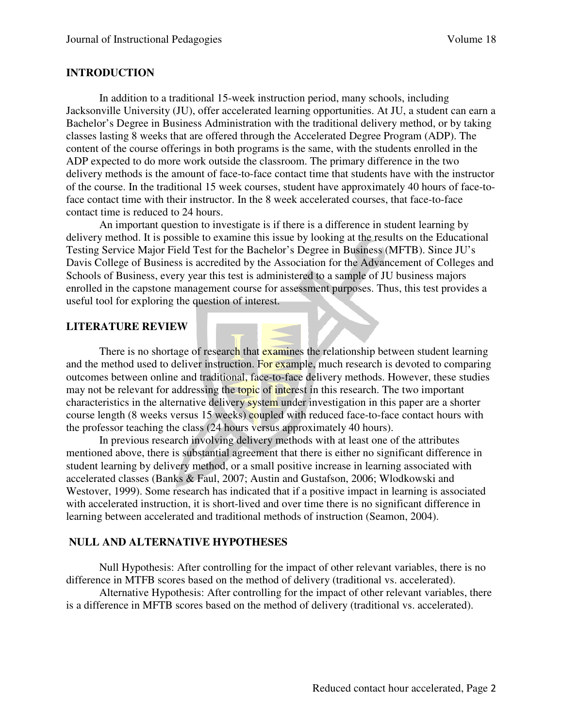#### **INTRODUCTION**

In addition to a traditional 15-week instruction period, many schools, including Jacksonville University (JU), offer accelerated learning opportunities. At JU, a student can earn a Bachelor's Degree in Business Administration with the traditional delivery method, or by taking classes lasting 8 weeks that are offered through the Accelerated Degree Program (ADP). The content of the course offerings in both programs is the same, with the students enrolled in the ADP expected to do more work outside the classroom. The primary difference in the two delivery methods is the amount of face-to-face contact time that students have with the instructor of the course. In the traditional 15 week courses, student have approximately 40 hours of face-toface contact time with their instructor. In the 8 week accelerated courses, that face-to-face contact time is reduced to 24 hours.

An important question to investigate is if there is a difference in student learning by delivery method. It is possible to examine this issue by looking at the results on the Educational Testing Service Major Field Test for the Bachelor's Degree in Business (MFTB). Since JU's Davis College of Business is accredited by the Association for the Advancement of Colleges and Schools of Business, every year this test is administered to a sample of JU business majors enrolled in the capstone management course for assessment purposes. Thus, this test provides a useful tool for exploring the question of interest.

#### **LITERATURE REVIEW**

There is no shortage of research that examines the relationship between student learning and the method used to deliver instruction. For example, much research is devoted to comparing outcomes between online and traditional, face-to-face delivery methods. However, these studies may not be relevant for addressing the topic of interest in this research. The two important characteristics in the alternative delivery system under investigation in this paper are a shorter course length (8 weeks versus 15 weeks) coupled with reduced face-to-face contact hours with the professor teaching the class (24 hours versus approximately 40 hours).

In previous research involving delivery methods with at least one of the attributes mentioned above, there is substantial agreement that there is either no significant difference in student learning by delivery method, or a small positive increase in learning associated with accelerated classes (Banks & Faul, 2007; Austin and Gustafson, 2006; Wlodkowski and Westover, 1999). Some research has indicated that if a positive impact in learning is associated with accelerated instruction, it is short-lived and over time there is no significant difference in learning between accelerated and traditional methods of instruction (Seamon, 2004).

#### **NULL AND ALTERNATIVE HYPOTHESES**

Null Hypothesis: After controlling for the impact of other relevant variables, there is no difference in MTFB scores based on the method of delivery (traditional vs. accelerated).

Alternative Hypothesis: After controlling for the impact of other relevant variables, there is a difference in MFTB scores based on the method of delivery (traditional vs. accelerated).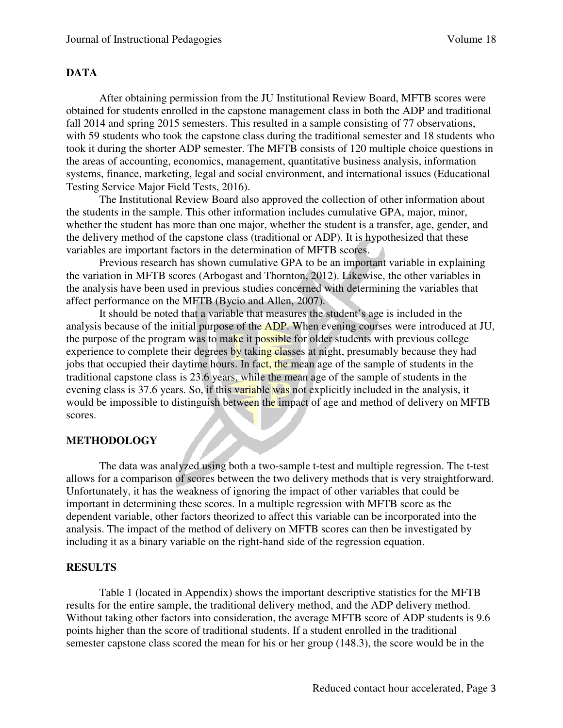#### **DATA**

After obtaining permission from the JU Institutional Review Board, MFTB scores were obtained for students enrolled in the capstone management class in both the ADP and traditional fall 2014 and spring 2015 semesters. This resulted in a sample consisting of 77 observations, with 59 students who took the capstone class during the traditional semester and 18 students who took it during the shorter ADP semester. The MFTB consists of 120 multiple choice questions in the areas of accounting, economics, management, quantitative business analysis, information systems, finance, marketing, legal and social environment, and international issues (Educational Testing Service Major Field Tests, 2016).

The Institutional Review Board also approved the collection of other information about the students in the sample. This other information includes cumulative GPA, major, minor, whether the student has more than one major, whether the student is a transfer, age, gender, and the delivery method of the capstone class (traditional or ADP). It is hypothesized that these variables are important factors in the determination of MFTB scores.

Previous research has shown cumulative GPA to be an important variable in explaining the variation in MFTB scores (Arbogast and Thornton, 2012). Likewise, the other variables in the analysis have been used in previous studies concerned with determining the variables that affect performance on the MFTB (Bycio and Allen, 2007).

It should be noted that a variable that measures the student's age is included in the analysis because of the initial purpose of the ADP. When evening courses were introduced at JU, the purpose of the program was to make it possible for older students with previous college experience to complete their degrees by taking classes at night, presumably because they had jobs that occupied their daytime hours. In fact, the mean age of the sample of students in the traditional capstone class is 23.6 years, while the mean age of the sample of students in the evening class is 37.6 years. So, if this variable was not explicitly included in the analysis, it would be impossible to distinguish between the impact of age and method of delivery on MFTB scores.

#### **METHODOLOGY**

The data was analyzed using both a two-sample t-test and multiple regression. The t-test allows for a comparison of scores between the two delivery methods that is very straightforward. Unfortunately, it has the weakness of ignoring the impact of other variables that could be important in determining these scores. In a multiple regression with MFTB score as the dependent variable, other factors theorized to affect this variable can be incorporated into the analysis. The impact of the method of delivery on MFTB scores can then be investigated by including it as a binary variable on the right-hand side of the regression equation.

#### **RESULTS**

Table 1 (located in Appendix) shows the important descriptive statistics for the MFTB results for the entire sample, the traditional delivery method, and the ADP delivery method. Without taking other factors into consideration, the average MFTB score of ADP students is 9.6 points higher than the score of traditional students. If a student enrolled in the traditional semester capstone class scored the mean for his or her group (148.3), the score would be in the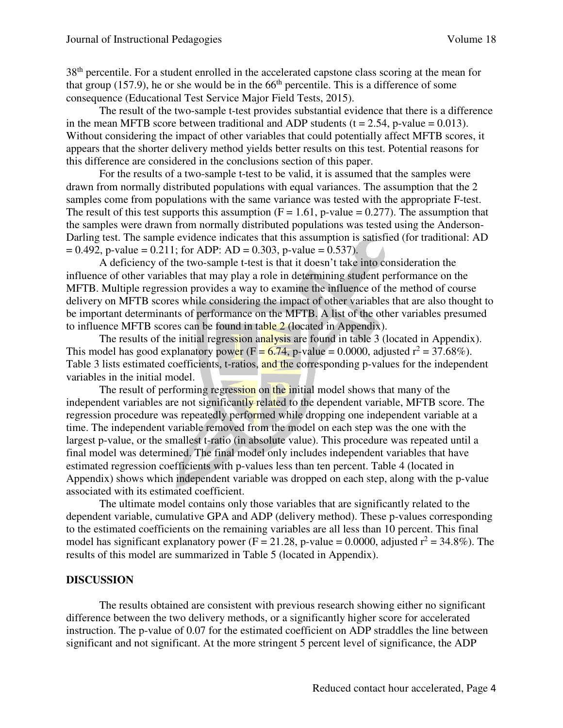38<sup>th</sup> percentile. For a student enrolled in the accelerated capstone class scoring at the mean for that group (157.9), he or she would be in the  $66<sup>th</sup>$  percentile. This is a difference of some consequence (Educational Test Service Major Field Tests, 2015).

The result of the two-sample t-test provides substantial evidence that there is a difference in the mean MFTB score between traditional and ADP students ( $t = 2.54$ , p-value = 0.013). Without considering the impact of other variables that could potentially affect MFTB scores, it appears that the shorter delivery method yields better results on this test. Potential reasons for this difference are considered in the conclusions section of this paper.

For the results of a two-sample t-test to be valid, it is assumed that the samples were drawn from normally distributed populations with equal variances. The assumption that the 2 samples come from populations with the same variance was tested with the appropriate F-test. The result of this test supports this assumption  $(F = 1.61, p-value = 0.277)$ . The assumption that the samples were drawn from normally distributed populations was tested using the Anderson-Darling test. The sample evidence indicates that this assumption is satisfied (for traditional: AD  $= 0.492$ , p-value  $= 0.211$ ; for ADP: AD  $= 0.303$ , p-value  $= 0.537$ ).

A deficiency of the two-sample t-test is that it doesn't take into consideration the influence of other variables that may play a role in determining student performance on the MFTB. Multiple regression provides a way to examine the influence of the method of course delivery on MFTB scores while considering the impact of other variables that are also thought to be important determinants of performance on the MFTB. A list of the other variables presumed to influence MFTB scores can be found in table 2 (located in Appendix).

The results of the initial regression analysis are found in table 3 (located in Appendix). This model has good explanatory power ( $F = 6.74$ , p-value = 0.0000, adjusted  $r^2 = 37.68\%$ ). Table 3 lists estimated coefficients, t-ratios, and the corresponding p-values for the independent variables in the initial model.

The result of performing regression on the initial model shows that many of the independent variables are not significantly related to the dependent variable, MFTB score. The regression procedure was repeatedly performed while dropping one independent variable at a time. The independent variable removed from the model on each step was the one with the largest p-value, or the smallest t-ratio (in absolute value). This procedure was repeated until a final model was determined. The final model only includes independent variables that have estimated regression coefficients with p-values less than ten percent. Table 4 (located in Appendix) shows which independent variable was dropped on each step, along with the p-value associated with its estimated coefficient.

The ultimate model contains only those variables that are significantly related to the dependent variable, cumulative GPA and ADP (delivery method). These p-values corresponding to the estimated coefficients on the remaining variables are all less than 10 percent. This final model has significant explanatory power ( $F = 21.28$ , p-value = 0.0000, adjusted  $r^2 = 34.8\%$ ). The results of this model are summarized in Table 5 (located in Appendix).

#### **DISCUSSION**

The results obtained are consistent with previous research showing either no significant difference between the two delivery methods, or a significantly higher score for accelerated instruction. The p-value of 0.07 for the estimated coefficient on ADP straddles the line between significant and not significant. At the more stringent 5 percent level of significance, the ADP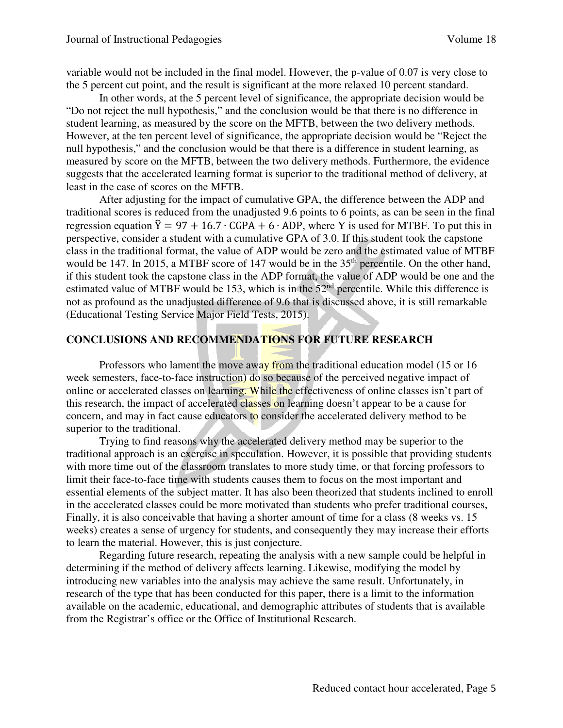variable would not be included in the final model. However, the p-value of 0.07 is very close to the 5 percent cut point, and the result is significant at the more relaxed 10 percent standard.

In other words, at the 5 percent level of significance, the appropriate decision would be "Do not reject the null hypothesis," and the conclusion would be that there is no difference in student learning, as measured by the score on the MFTB, between the two delivery methods. However, at the ten percent level of significance, the appropriate decision would be "Reject the null hypothesis," and the conclusion would be that there is a difference in student learning, as measured by score on the MFTB, between the two delivery methods. Furthermore, the evidence suggests that the accelerated learning format is superior to the traditional method of delivery, at least in the case of scores on the MFTB.

After adjusting for the impact of cumulative GPA, the difference between the ADP and traditional scores is reduced from the unadjusted 9.6 points to 6 points, as can be seen in the final regression equation  $\hat{Y} = 97 + 16.7 \cdot \text{GPA} + 6 \cdot \text{ADP}$ , where Y is used for MTBF. To put this in perspective, consider a student with a cumulative GPA of 3.0. If this student took the capstone class in the traditional format, the value of ADP would be zero and the estimated value of MTBF would be 147. In 2015, a MTBF score of 147 would be in the 35<sup>th</sup> percentile. On the other hand, if this student took the capstone class in the ADP format, the value of ADP would be one and the estimated value of MTBF would be 153, which is in the 52<sup>nd</sup> percentile. While this difference is not as profound as the unadjusted difference of 9.6 that is discussed above, it is still remarkable (Educational Testing Service Major Field Tests, 2015).

## **CONCLUSIONS AND RECOMMENDATIONS FOR FUTURE RESEARCH**

Professors who lament the move away from the traditional education model (15 or 16) week semesters, face-to-face instruction) do so because of the perceived negative impact of online or accelerated classes on learning. While the effectiveness of online classes isn't part of this research, the impact of accelerated classes on learning doesn't appear to be a cause for concern, and may in fact cause educators to consider the accelerated delivery method to be superior to the traditional.

Trying to find reasons why the accelerated delivery method may be superior to the traditional approach is an exercise in speculation. However, it is possible that providing students with more time out of the classroom translates to more study time, or that forcing professors to limit their face-to-face time with students causes them to focus on the most important and essential elements of the subject matter. It has also been theorized that students inclined to enroll in the accelerated classes could be more motivated than students who prefer traditional courses, Finally, it is also conceivable that having a shorter amount of time for a class (8 weeks vs. 15 weeks) creates a sense of urgency for students, and consequently they may increase their efforts to learn the material. However, this is just conjecture.

Regarding future research, repeating the analysis with a new sample could be helpful in determining if the method of delivery affects learning. Likewise, modifying the model by introducing new variables into the analysis may achieve the same result. Unfortunately, in research of the type that has been conducted for this paper, there is a limit to the information available on the academic, educational, and demographic attributes of students that is available from the Registrar's office or the Office of Institutional Research.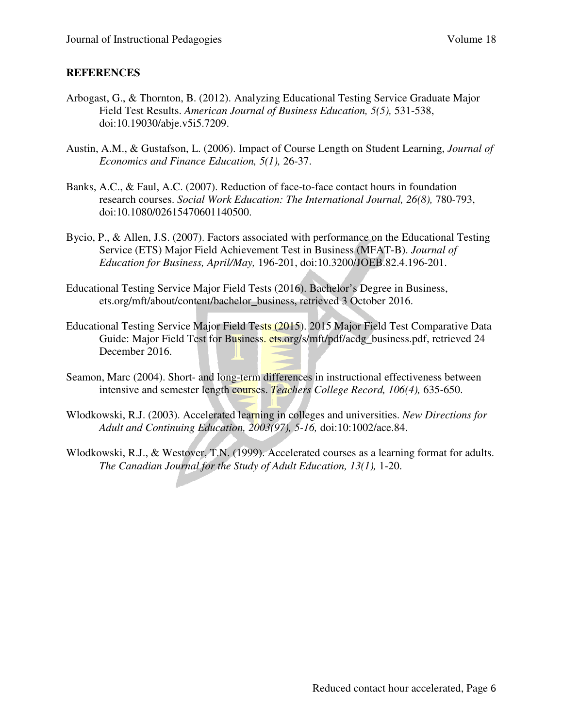#### **REFERENCES**

- Arbogast, G., & Thornton, B. (2012). Analyzing Educational Testing Service Graduate Major Field Test Results. *American Journal of Business Education, 5(5),* 531-538, doi:10.19030/abje.v5i5.7209.
- Austin, A.M., & Gustafson, L. (2006). Impact of Course Length on Student Learning, *Journal of Economics and Finance Education, 5(1),* 26-37.
- Banks, A.C., & Faul, A.C. (2007). Reduction of face-to-face contact hours in foundation research courses. *Social Work Education: The International Journal, 26(8),* 780-793, doi:10.1080/02615470601140500.
- Bycio, P., & Allen, J.S. (2007). Factors associated with performance on the Educational Testing Service (ETS) Major Field Achievement Test in Business (MFAT-B). *Journal of Education for Business, April/May,* 196-201, doi:10.3200/JOEB.82.4.196-201.
- Educational Testing Service Major Field Tests (2016). Bachelor's Degree in Business, ets.org/mft/about/content/bachelor\_business, retrieved 3 October 2016.
- Educational Testing Service Major Field Tests (2015). 2015 Major Field Test Comparative Data Guide: Major Field Test for Business, ets.org/s/mft/pdf/acdg business.pdf, retrieved 24 December 2016.
- Seamon, Marc (2004). Short- and long-term differences in instructional effectiveness between intensive and semester length courses. *Teachers College Record, 106(4),* 635-650.
- Wlodkowski, R.J. (2003). Accelerated learning in colleges and universities. *New Directions for Adult and Continuing Education, 2003(97), 5-16,* doi:10:1002/ace.84.
- Wlodkowski, R.J., & Westover, T.N. (1999). Accelerated courses as a learning format for adults. *The Canadian Journal for the Study of Adult Education, 13(1),* 1-20.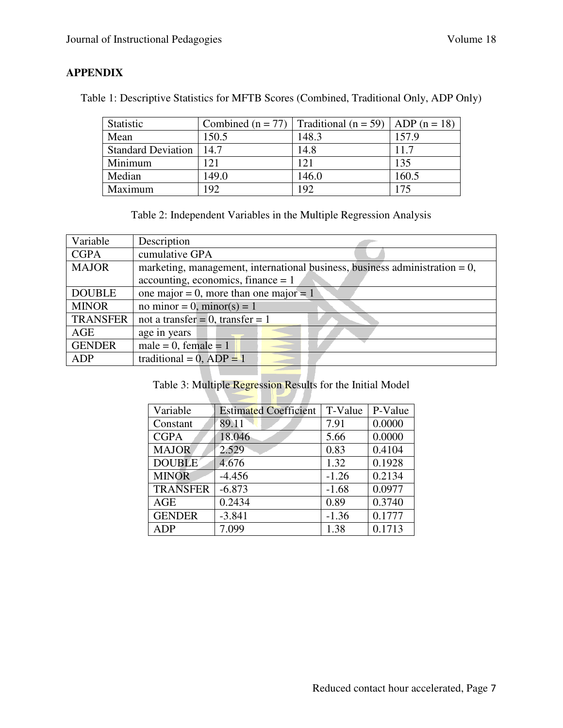# **APPENDIX**

Table 1: Descriptive Statistics for MFTB Scores (Combined, Traditional Only, ADP Only)

| <b>Statistic</b>          | Combined $(n = 77)$ | Traditional (n = 59)   ADP (n = 18) |       |
|---------------------------|---------------------|-------------------------------------|-------|
| Mean                      | 150.5               | 148.3                               | 157.9 |
| <b>Standard Deviation</b> | 14.7                | 14.8                                | 11.7  |
| Minimum                   | 121                 | 121                                 | 135   |
| Median                    | 149.0               | 146.0                               | 160.5 |
| Maximum                   | 192                 | 192                                 | 175   |

|  | Table 2: Independent Variables in the Multiple Regression Analysis |  |  |
|--|--------------------------------------------------------------------|--|--|
|  |                                                                    |  |  |
|  |                                                                    |  |  |
|  |                                                                    |  |  |

| Variable        | Description                                                                    |
|-----------------|--------------------------------------------------------------------------------|
| <b>CGPA</b>     | cumulative GPA                                                                 |
| <b>MAJOR</b>    | marketing, management, international business, business administration = $0$ , |
|                 | accounting, economics, finance $= 1$                                           |
| <b>DOUBLE</b>   | one major = 0, more than one major = 1                                         |
| <b>MINOR</b>    | no minor = 0, minor(s) = 1                                                     |
| <b>TRANSFER</b> | not a transfer = $0$ , transfer = $1$                                          |
| AGE             | age in years                                                                   |
| <b>GENDER</b>   | male = 0, female = $1$                                                         |
| ADP             | traditional = 0, $ADP = 1$                                                     |
|                 |                                                                                |

Table 3: Multiple Regression Results for the Initial Model

N

| Variable        | <b>Estimated Coefficient</b> | T-Value | P-Value |
|-----------------|------------------------------|---------|---------|
| Constant        | 89.11                        | 7.91    | 0.0000  |
| <b>CGPA</b>     | 18.046                       | 5.66    | 0.0000  |
| <b>MAJOR</b>    | 2.529                        | 0.83    | 0.4104  |
| <b>DOUBLE</b>   | 4.676                        | 1.32    | 0.1928  |
| <b>MINOR</b>    | $-4.456$                     | $-1.26$ | 0.2134  |
| <b>TRANSFER</b> | $-6.873$                     | $-1.68$ | 0.0977  |
| <b>AGE</b>      | 0.2434                       | 0.89    | 0.3740  |
| <b>GENDER</b>   | $-3.841$                     | $-1.36$ | 0.1777  |
| ADP             | 7.099                        | 1.38    | 0.1713  |